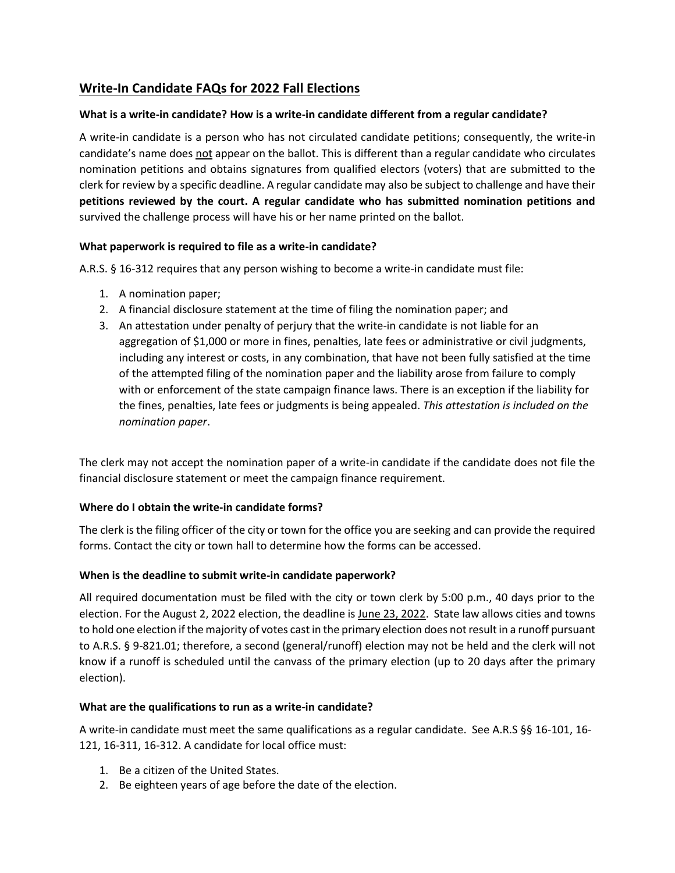# **Write-In Candidate FAQs for 2022 Fall Elections**

#### **What is a write-in candidate? How is a write-in candidate different from a regular candidate?**

A write-in candidate is a person who has not circulated candidate petitions; consequently, the write-in candidate's name does not appear on the ballot. This is different than a regular candidate who circulates nomination petitions and obtains signatures from qualified electors (voters) that are submitted to the clerk for review by a specific deadline. A regular candidate may also be subject to challenge and have their **petitions reviewed by the court. A regular candidate who has submitted nomination petitions and** survived the challenge process will have his or her name printed on the ballot.

## **What paperwork is required to file as a write-in candidate?**

A.R.S. § 16-312 requires that any person wishing to become a write-in candidate must file:

- 1. A nomination paper;
- 2. A financial disclosure statement at the time of filing the nomination paper; and
- 3. An attestation under penalty of perjury that the write-in candidate is not liable for an aggregation of \$1,000 or more in fines, penalties, late fees or administrative or civil judgments, including any interest or costs, in any combination, that have not been fully satisfied at the time of the attempted filing of the nomination paper and the liability arose from failure to comply with or enforcement of the state campaign finance laws. There is an exception if the liability for the fines, penalties, late fees or judgments is being appealed. *This attestation is included on the nomination paper*.

The clerk may not accept the nomination paper of a write-in candidate if the candidate does not file the financial disclosure statement or meet the campaign finance requirement.

#### **Where do I obtain the write-in candidate forms?**

The clerk is the filing officer of the city or town for the office you are seeking and can provide the required forms. Contact the city or town hall to determine how the forms can be accessed.

#### **When is the deadline to submit write-in candidate paperwork?**

All required documentation must be filed with the city or town clerk by 5:00 p.m., 40 days prior to the election. For the August 2, 2022 election, the deadline is June 23, 2022. State law allows cities and towns to hold one election if the majority of votes cast in the primary election does not result in a runoff pursuant to A.R.S. § 9-821.01; therefore, a second (general/runoff) election may not be held and the clerk will not know if a runoff is scheduled until the canvass of the primary election (up to 20 days after the primary election).

## **What are the qualifications to run as a write-in candidate?**

A write-in candidate must meet the same qualifications as a regular candidate. See A.R.S §§ 16-101, 16- 121, 16-311, 16-312. A candidate for local office must:

- 1. Be a citizen of the United States.
- 2. Be eighteen years of age before the date of the election.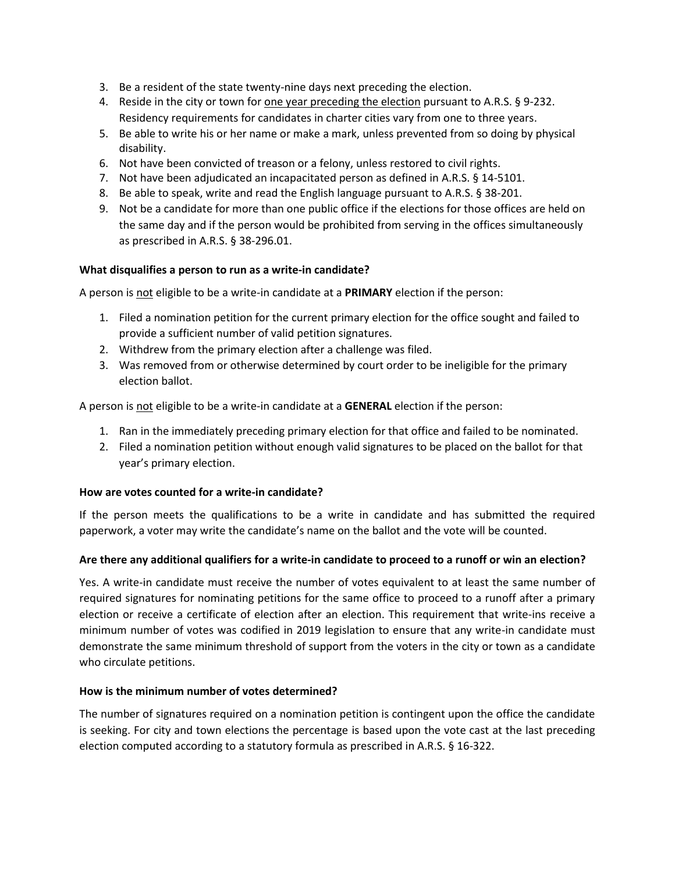- 3. Be a resident of the state twenty-nine days next preceding the election.
- 4. Reside in the city or town for one year preceding the election pursuant to A.R.S. § 9-232. Residency requirements for candidates in charter cities vary from one to three years.
- 5. Be able to write his or her name or make a mark, unless prevented from so doing by physical disability.
- 6. Not have been convicted of treason or a felony, unless restored to civil rights.
- 7. Not have been adjudicated an incapacitated person as defined in A.R.S. § 14-5101.
- 8. Be able to speak, write and read the English language pursuant to A.R.S. § 38-201.
- 9. Not be a candidate for more than one public office if the elections for those offices are held on the same day and if the person would be prohibited from serving in the offices simultaneously as prescribed in A.R.S. § 38-296.01.

#### **What disqualifies a person to run as a write-in candidate?**

A person is not eligible to be a write-in candidate at a **PRIMARY** election if the person:

- 1. Filed a nomination petition for the current primary election for the office sought and failed to provide a sufficient number of valid petition signatures.
- 2. Withdrew from the primary election after a challenge was filed.
- 3. Was removed from or otherwise determined by court order to be ineligible for the primary election ballot.

A person is not eligible to be a write-in candidate at a **GENERAL** election if the person:

- 1. Ran in the immediately preceding primary election for that office and failed to be nominated.
- 2. Filed a nomination petition without enough valid signatures to be placed on the ballot for that year's primary election.

#### **How are votes counted for a write-in candidate?**

If the person meets the qualifications to be a write in candidate and has submitted the required paperwork, a voter may write the candidate's name on the ballot and the vote will be counted.

#### **Are there any additional qualifiers for a write-in candidate to proceed to a runoff or win an election?**

Yes. A write-in candidate must receive the number of votes equivalent to at least the same number of required signatures for nominating petitions for the same office to proceed to a runoff after a primary election or receive a certificate of election after an election. This requirement that write-ins receive a minimum number of votes was codified in 2019 legislation to ensure that any write-in candidate must demonstrate the same minimum threshold of support from the voters in the city or town as a candidate who circulate petitions.

#### **How is the minimum number of votes determined?**

The number of signatures required on a nomination petition is contingent upon the office the candidate is seeking. For city and town elections the percentage is based upon the vote cast at the last preceding election computed according to a statutory formula as prescribed in A.R.S. § 16-322.